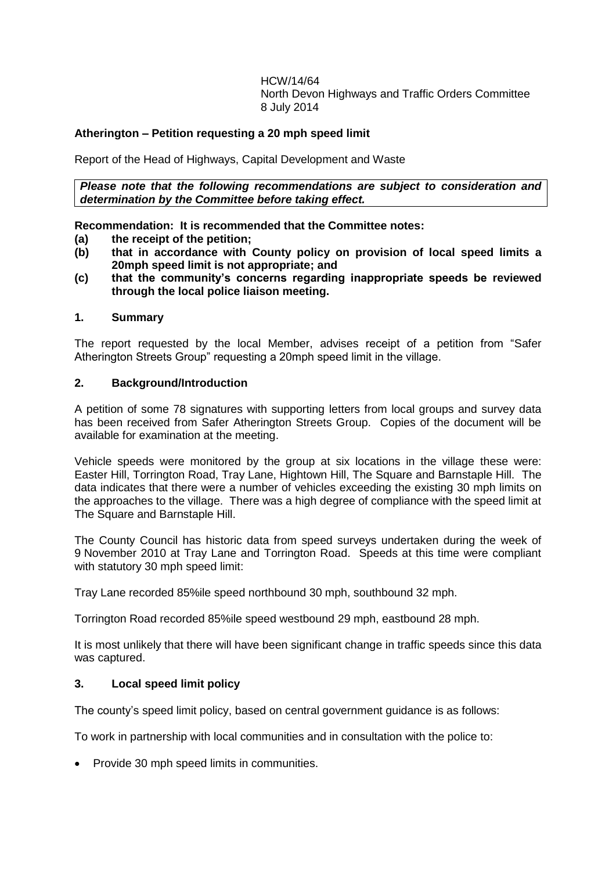HCW/14/64 North Devon Highways and Traffic Orders Committee 8 July 2014

## **Atherington – Petition requesting a 20 mph speed limit**

Report of the Head of Highways, Capital Development and Waste

*Please note that the following recommendations are subject to consideration and determination by the Committee before taking effect.*

**Recommendation: It is recommended that the Committee notes:**

- **(a) the receipt of the petition;**
- **(b) that in accordance with County policy on provision of local speed limits a 20mph speed limit is not appropriate; and**
- **(c) that the community's concerns regarding inappropriate speeds be reviewed through the local police liaison meeting.**

#### **1. Summary**

The report requested by the local Member, advises receipt of a petition from "Safer Atherington Streets Group" requesting a 20mph speed limit in the village.

### **2. Background/Introduction**

A petition of some 78 signatures with supporting letters from local groups and survey data has been received from Safer Atherington Streets Group. Copies of the document will be available for examination at the meeting.

Vehicle speeds were monitored by the group at six locations in the village these were: Easter Hill, Torrington Road, Tray Lane, Hightown Hill, The Square and Barnstaple Hill. The data indicates that there were a number of vehicles exceeding the existing 30 mph limits on the approaches to the village. There was a high degree of compliance with the speed limit at The Square and Barnstaple Hill.

The County Council has historic data from speed surveys undertaken during the week of 9 November 2010 at Tray Lane and Torrington Road. Speeds at this time were compliant with statutory 30 mph speed limit:

Tray Lane recorded 85%ile speed northbound 30 mph, southbound 32 mph.

Torrington Road recorded 85%ile speed westbound 29 mph, eastbound 28 mph.

It is most unlikely that there will have been significant change in traffic speeds since this data was captured.

## **3. Local speed limit policy**

The county's speed limit policy, based on central government guidance is as follows:

To work in partnership with local communities and in consultation with the police to:

• Provide 30 mph speed limits in communities.